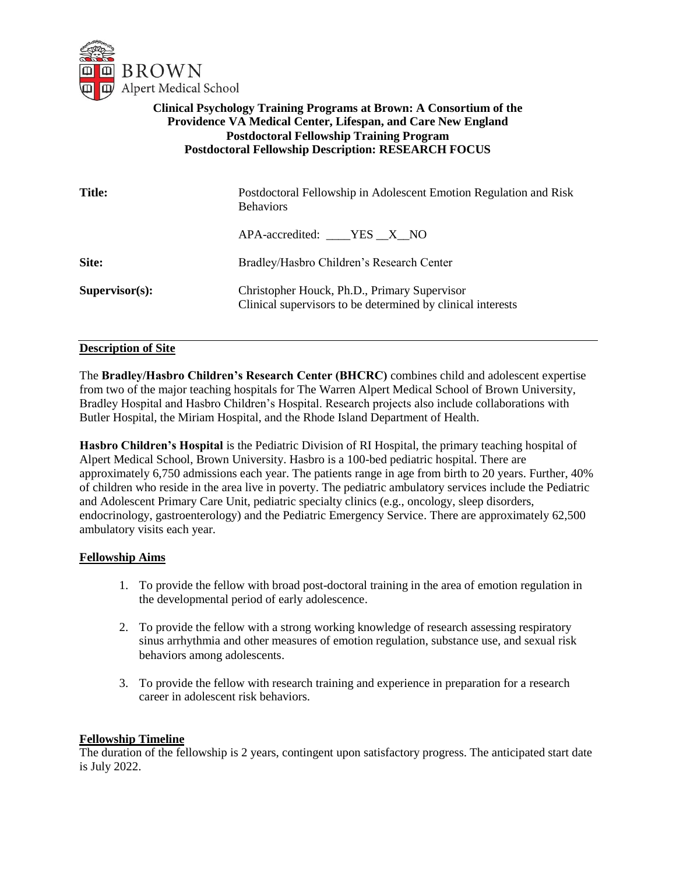

# **Clinical Psychology Training Programs at Brown: A Consortium of the Providence VA Medical Center, Lifespan, and Care New England Postdoctoral Fellowship Training Program Postdoctoral Fellowship Description: RESEARCH FOCUS**

| <b>Title:</b>     | Postdoctoral Fellowship in Adolescent Emotion Regulation and Risk<br><b>Behaviors</b>                       |
|-------------------|-------------------------------------------------------------------------------------------------------------|
|                   | $APA$ -accredited: $YES$ $X$ NO                                                                             |
| Site:             | Bradley/Hasbro Children's Research Center                                                                   |
| $Supervisor(s)$ : | Christopher Houck, Ph.D., Primary Supervisor<br>Clinical supervisors to be determined by clinical interests |

## **Description of Site**

The **Bradley/Hasbro Children's Research Center (BHCRC)** combines child and adolescent expertise from two of the major teaching hospitals for The Warren Alpert Medical School of Brown University, Bradley Hospital and Hasbro Children's Hospital. Research projects also include collaborations with Butler Hospital, the Miriam Hospital, and the Rhode Island Department of Health.

**Hasbro Children's Hospital** is the Pediatric Division of RI Hospital, the primary teaching hospital of Alpert Medical School, Brown University. Hasbro is a 100-bed pediatric hospital. There are approximately 6,750 admissions each year. The patients range in age from birth to 20 years. Further, 40% of children who reside in the area live in poverty. The pediatric ambulatory services include the Pediatric and Adolescent Primary Care Unit, pediatric specialty clinics (e.g., oncology, sleep disorders, endocrinology, gastroenterology) and the Pediatric Emergency Service. There are approximately 62,500 ambulatory visits each year.

#### **Fellowship Aims**

- 1. To provide the fellow with broad post-doctoral training in the area of emotion regulation in the developmental period of early adolescence.
- 2. To provide the fellow with a strong working knowledge of research assessing respiratory sinus arrhythmia and other measures of emotion regulation, substance use, and sexual risk behaviors among adolescents.
- 3. To provide the fellow with research training and experience in preparation for a research career in adolescent risk behaviors.

## **Fellowship Timeline**

The duration of the fellowship is 2 years, contingent upon satisfactory progress. The anticipated start date is July 2022.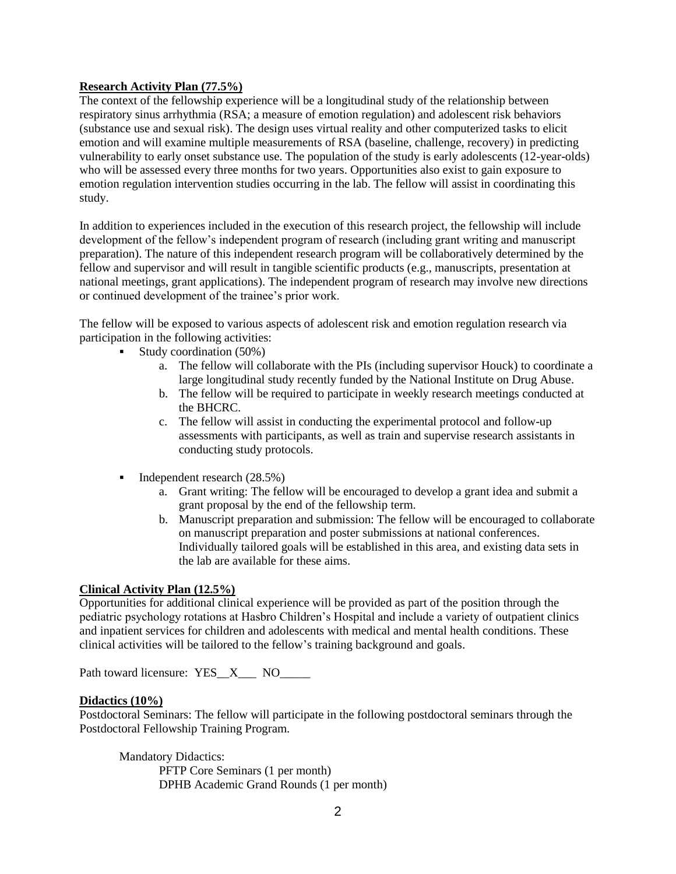### **Research Activity Plan (77.5%)**

The context of the fellowship experience will be a longitudinal study of the relationship between respiratory sinus arrhythmia (RSA; a measure of emotion regulation) and adolescent risk behaviors (substance use and sexual risk). The design uses virtual reality and other computerized tasks to elicit emotion and will examine multiple measurements of RSA (baseline, challenge, recovery) in predicting vulnerability to early onset substance use. The population of the study is early adolescents (12-year-olds) who will be assessed every three months for two years. Opportunities also exist to gain exposure to emotion regulation intervention studies occurring in the lab. The fellow will assist in coordinating this study.

In addition to experiences included in the execution of this research project, the fellowship will include development of the fellow's independent program of research (including grant writing and manuscript preparation). The nature of this independent research program will be collaboratively determined by the fellow and supervisor and will result in tangible scientific products (e.g., manuscripts, presentation at national meetings, grant applications). The independent program of research may involve new directions or continued development of the trainee's prior work.

The fellow will be exposed to various aspects of adolescent risk and emotion regulation research via participation in the following activities:

- Study coordination  $(50\%)$ 
	- a. The fellow will collaborate with the PIs (including supervisor Houck) to coordinate a large longitudinal study recently funded by the National Institute on Drug Abuse.
	- b. The fellow will be required to participate in weekly research meetings conducted at the BHCRC.
	- c. The fellow will assist in conducting the experimental protocol and follow-up assessments with participants, as well as train and supervise research assistants in conducting study protocols.
- Independent research (28.5%)
	- a. Grant writing: The fellow will be encouraged to develop a grant idea and submit a grant proposal by the end of the fellowship term.
	- b. Manuscript preparation and submission: The fellow will be encouraged to collaborate on manuscript preparation and poster submissions at national conferences. Individually tailored goals will be established in this area, and existing data sets in the lab are available for these aims.

#### **Clinical Activity Plan (12.5%)**

Opportunities for additional clinical experience will be provided as part of the position through the pediatric psychology rotations at Hasbro Children's Hospital and include a variety of outpatient clinics and inpatient services for children and adolescents with medical and mental health conditions. These clinical activities will be tailored to the fellow's training background and goals.

Path toward licensure: YES\_X\_\_\_ NO\_\_\_\_\_

#### **Didactics (10%)**

Postdoctoral Seminars: The fellow will participate in the following postdoctoral seminars through the Postdoctoral Fellowship Training Program.

Mandatory Didactics: PFTP Core Seminars (1 per month) DPHB Academic Grand Rounds (1 per month)